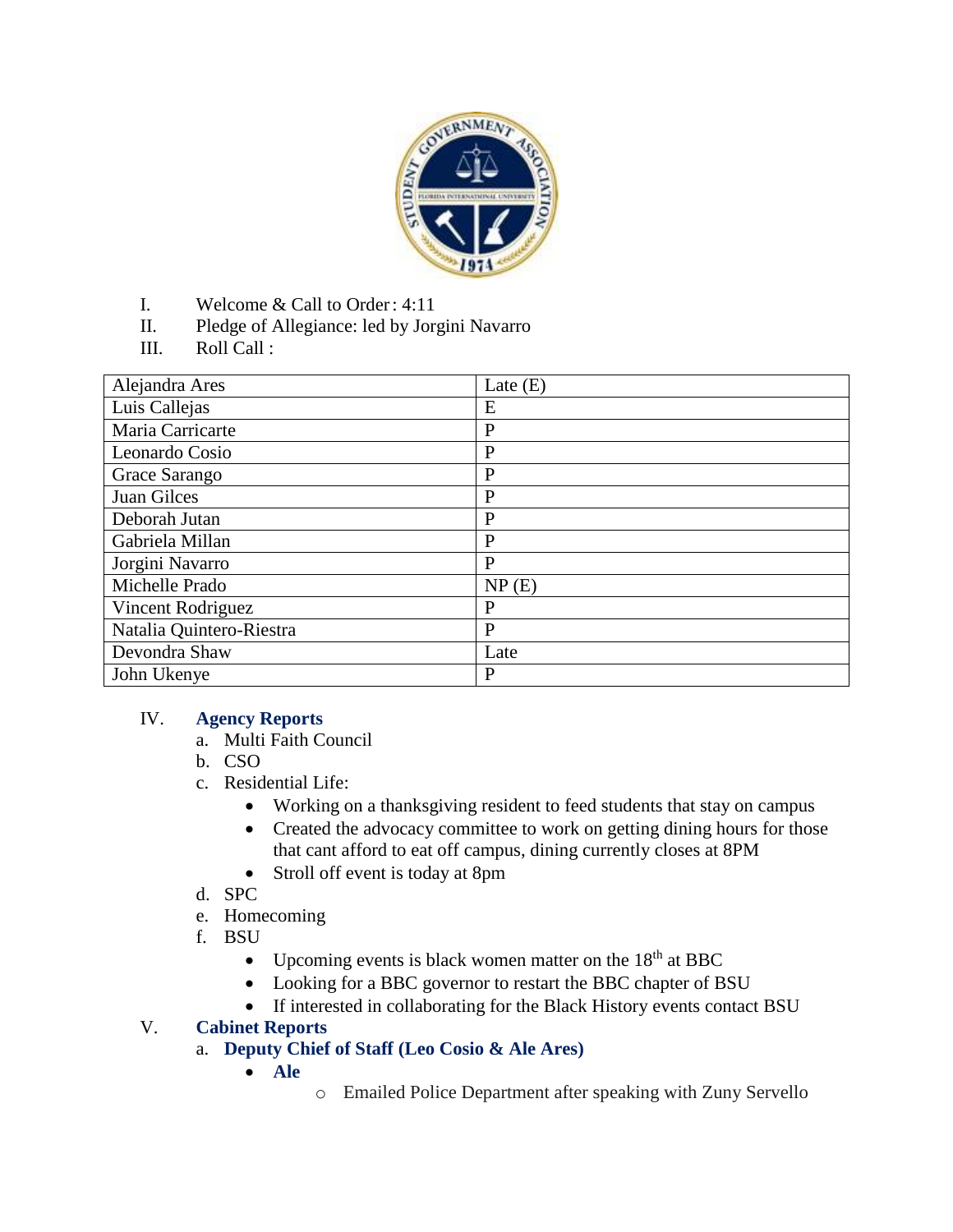

- I. Welcome & Call to Order: 4:11
- II. Pledge of Allegiance: led by Jorgini Navarro
- III. Roll Call :

| Alejandra Ares           | Late $(E)$   |
|--------------------------|--------------|
| Luis Callejas            | E            |
| Maria Carricarte         | $\mathbf{P}$ |
| Leonardo Cosio           | $\mathbf{P}$ |
| Grace Sarango            | $\mathbf{P}$ |
| Juan Gilces              | $\mathbf{P}$ |
| Deborah Jutan            | P            |
| Gabriela Millan          | P            |
| Jorgini Navarro          | P            |
| Michelle Prado           | NP(E)        |
| Vincent Rodriguez        | P            |
| Natalia Quintero-Riestra | P            |
| Devondra Shaw            | Late         |
| John Ukenye              | $\mathbf{P}$ |

#### IV. **Agency Reports**

- a. Multi Faith Council
- b. CSO
- c. Residential Life:
	- Working on a thanksgiving resident to feed students that stay on campus
	- Created the advocacy committee to work on getting dining hours for those that cant afford to eat off campus, dining currently closes at 8PM
	- Stroll off event is today at 8pm
- d. SPC
- e. Homecoming
- f. BSU
	- Upcoming events is black women matter on the  $18<sup>th</sup>$  at BBC
	- Looking for a BBC governor to restart the BBC chapter of BSU
	- If interested in collaborating for the Black History events contact BSU

#### V. **Cabinet Reports**

### a. **Deputy Chief of Staff (Leo Cosio & Ale Ares)**

- **Ale**
- o Emailed Police Department after speaking with Zuny Servello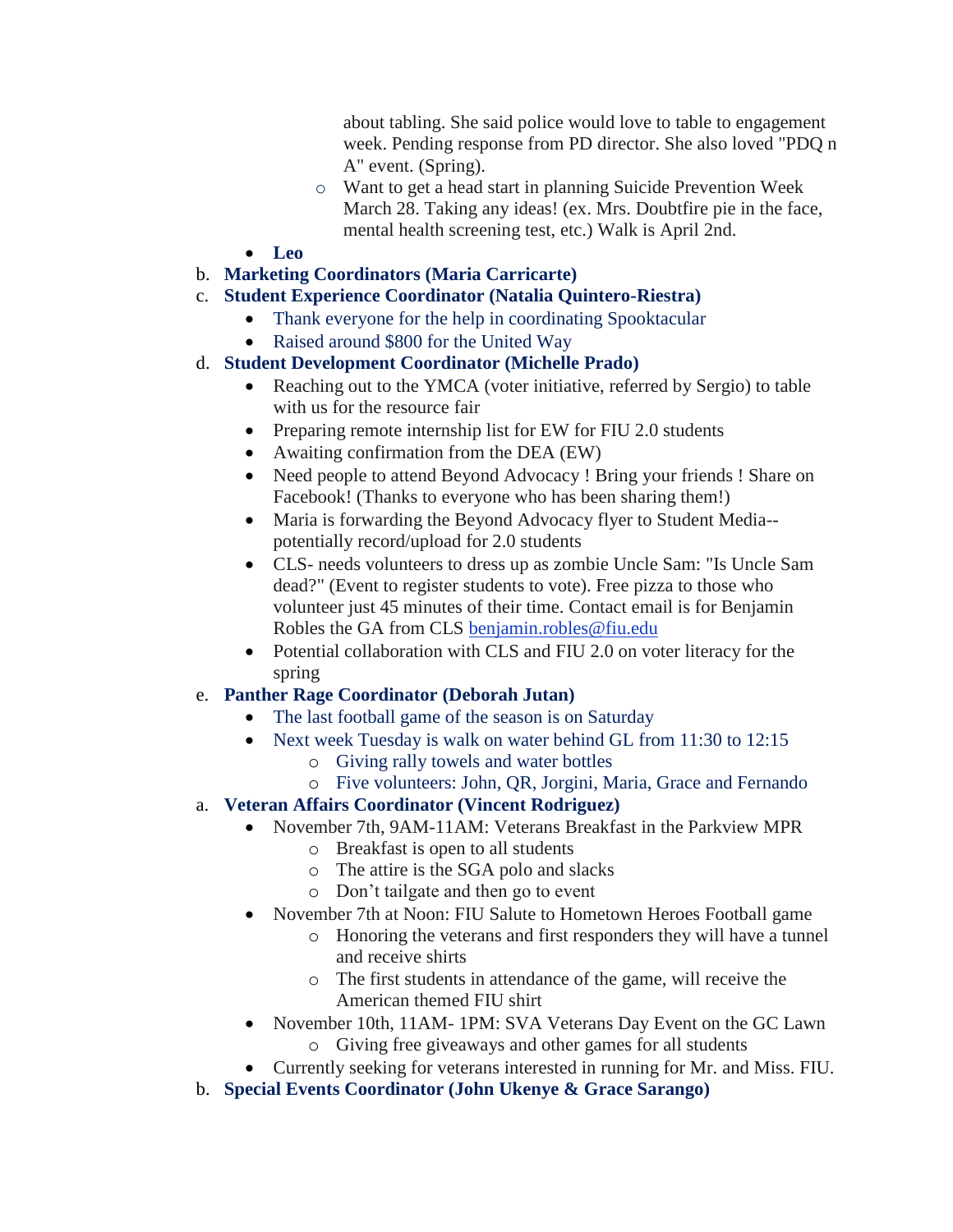about tabling. She said police would love to table to engagement week. Pending response from PD director. She also loved "PDQ n A" event. (Spring).

- o Want to get a head start in planning Suicide Prevention Week March 28. Taking any ideas! (ex. Mrs. Doubtfire pie in the face, mental health screening test, etc.) Walk is April 2nd.
- **Leo**
- b. **Marketing Coordinators (Maria Carricarte)**
- c. **Student Experience Coordinator (Natalia Quintero-Riestra)**
	- Thank everyone for the help in coordinating Spooktacular
	- Raised around \$800 for the United Way

## d. **Student Development Coordinator (Michelle Prado)**

- Reaching out to the YMCA (voter initiative, referred by Sergio) to table with us for the resource fair
- Preparing remote internship list for EW for FIU 2.0 students
- Awaiting confirmation from the DEA (EW)
- Need people to attend Beyond Advocacy ! Bring your friends ! Share on Facebook! (Thanks to everyone who has been sharing them!)
- Maria is forwarding the Beyond Advocacy flyer to Student Media- potentially record/upload for 2.0 students
- CLS- needs volunteers to dress up as zombie Uncle Sam: "Is Uncle Sam dead?" (Event to register students to vote). Free pizza to those who volunteer just 45 minutes of their time. Contact email is for Benjamin Robles the GA from CLS [benjamin.robles@fiu.edu](mailto:benjamin.robles@fiu.edu)
- Potential collaboration with CLS and FIU 2.0 on voter literacy for the spring

# e. **Panther Rage Coordinator (Deborah Jutan)**

- The last football game of the season is on Saturday
- Next week Tuesday is walk on water behind GL from 11:30 to 12:15
	- o Giving rally towels and water bottles
		- o Five volunteers: John, QR, Jorgini, Maria, Grace and Fernando
- a. **Veteran Affairs Coordinator (Vincent Rodriguez)**
	- November 7th, 9AM-11AM: Veterans Breakfast in the Parkview MPR
		- o Breakfast is open to all students
		- o The attire is the SGA polo and slacks
		- o Don't tailgate and then go to event
	- November 7th at Noon: FIU Salute to Hometown Heroes Football game
		- o Honoring the veterans and first responders they will have a tunnel and receive shirts
		- o The first students in attendance of the game, will receive the American themed FIU shirt
	- November 10th, 11AM- 1PM: SVA Veterans Day Event on the GC Lawn o Giving free giveaways and other games for all students
	- Currently seeking for veterans interested in running for Mr. and Miss. FIU.
- b. **Special Events Coordinator (John Ukenye & Grace Sarango)**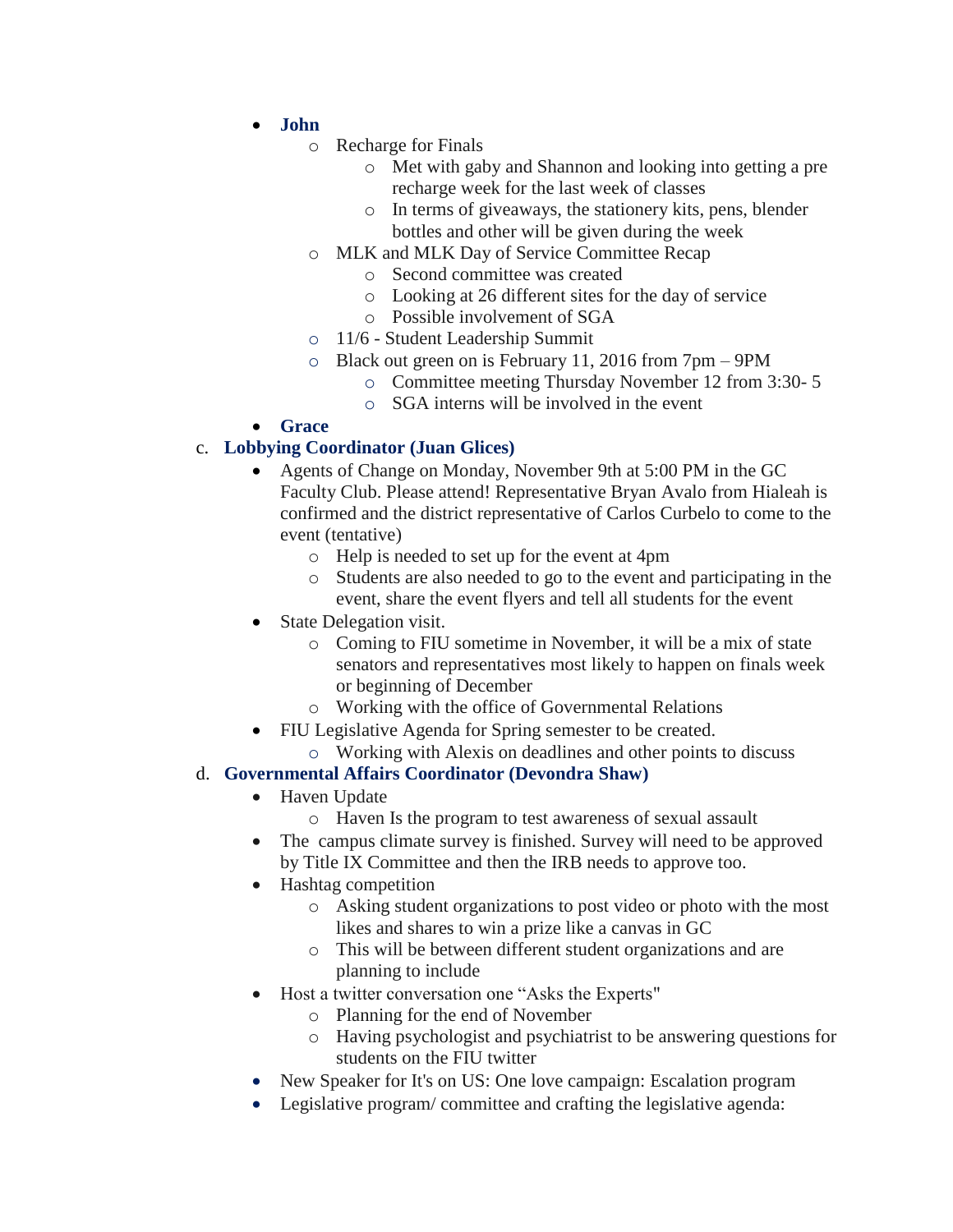- **John** 
	- o Recharge for Finals
		- o Met with gaby and Shannon and looking into getting a pre recharge week for the last week of classes
		- o In terms of giveaways, the stationery kits, pens, blender bottles and other will be given during the week
	- o MLK and MLK Day of Service Committee Recap
		- o Second committee was created
			- o Looking at 26 different sites for the day of service
			- o Possible involvement of SGA
	- o 11/6 Student Leadership Summit
	- o Black out green on is February 11, 2016 from 7pm 9PM
		- o Committee meeting Thursday November 12 from 3:30- 5
		- o SGA interns will be involved in the event
- **Grace**

### c. **Lobbying Coordinator (Juan Glices)**

- Agents of Change on Monday, November 9th at 5:00 PM in the GC Faculty Club. Please attend! Representative Bryan Avalo from Hialeah is confirmed and the district representative of Carlos Curbelo to come to the event (tentative)
	- o Help is needed to set up for the event at 4pm
	- o Students are also needed to go to the event and participating in the event, share the event flyers and tell all students for the event
- State Delegation visit.
	- o Coming to FIU sometime in November, it will be a mix of state senators and representatives most likely to happen on finals week or beginning of December
	- o Working with the office of Governmental Relations
- FIU Legislative Agenda for Spring semester to be created.
	- o Working with Alexis on deadlines and other points to discuss

### d. **Governmental Affairs Coordinator (Devondra Shaw)**

- Haven Update
	- o Haven Is the program to test awareness of sexual assault
- The campus climate survey is finished. Survey will need to be approved by Title IX Committee and then the IRB needs to approve too.
- Hashtag competition
	- o Asking student organizations to post video or photo with the most likes and shares to win a prize like a canvas in GC
	- o This will be between different student organizations and are planning to include
- Host a twitter conversation one "Asks the Experts"
	- o Planning for the end of November
	- o Having psychologist and psychiatrist to be answering questions for students on the FIU twitter
- New Speaker for It's on US: One love campaign: Escalation program
- Legislative program/ committee and crafting the legislative agenda: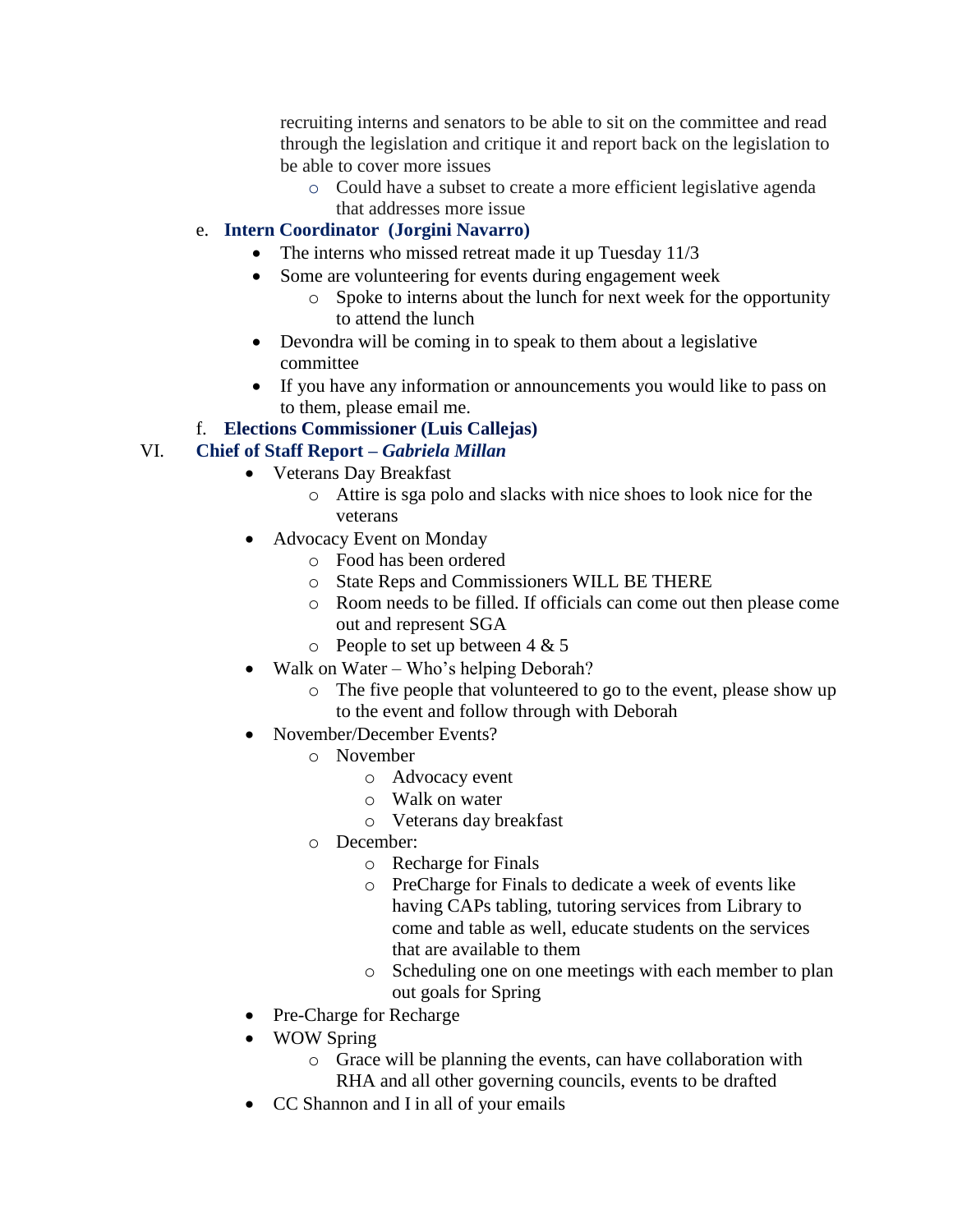recruiting interns and senators to be able to sit on the committee and read through the legislation and critique it and report back on the legislation to be able to cover more issues

o Could have a subset to create a more efficient legislative agenda that addresses more issue

## e. **Intern Coordinator (Jorgini Navarro)**

- The interns who missed retreat made it up Tuesday 11/3
- Some are volunteering for events during engagement week
	- o Spoke to interns about the lunch for next week for the opportunity to attend the lunch
- Devondra will be coming in to speak to them about a legislative committee
- If you have any information or announcements you would like to pass on to them, please email me.

### f. **Elections Commissioner (Luis Callejas)**

# VI. **Chief of Staff Report –** *Gabriela Millan*

- Veterans Day Breakfast
	- o Attire is sga polo and slacks with nice shoes to look nice for the veterans
- Advocacy Event on Monday
	- o Food has been ordered
	- o State Reps and Commissioners WILL BE THERE
	- o Room needs to be filled. If officials can come out then please come out and represent SGA
	- $\circ$  People to set up between 4 & 5
- Walk on Water Who's helping Deborah?
	- o The five people that volunteered to go to the event, please show up to the event and follow through with Deborah
- November/December Events?
	- o November
		- o Advocacy event
		- o Walk on water
		- o Veterans day breakfast
	- o December:
		- o Recharge for Finals
		- o PreCharge for Finals to dedicate a week of events like having CAPs tabling, tutoring services from Library to come and table as well, educate students on the services that are available to them
		- o Scheduling one on one meetings with each member to plan out goals for Spring
- Pre-Charge for Recharge
- WOW Spring
	- o Grace will be planning the events, can have collaboration with RHA and all other governing councils, events to be drafted
- CC Shannon and I in all of your emails